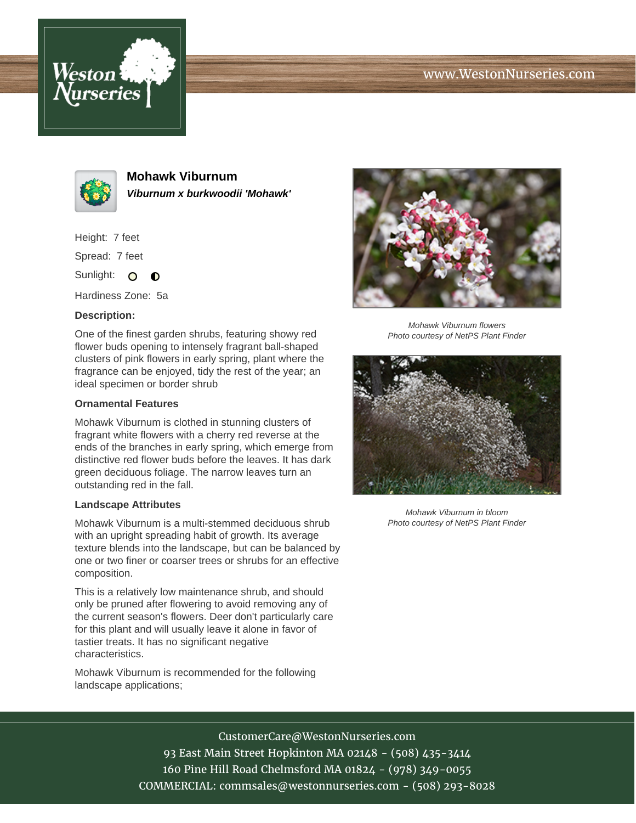





**Mohawk Viburnum Viburnum x burkwoodii 'Mohawk'**

Height: 7 feet

Spread: 7 feet

Sunlight: O  $\bullet$ 

Hardiness Zone: 5a

## **Description:**

One of the finest garden shrubs, featuring showy red flower buds opening to intensely fragrant ball-shaped clusters of pink flowers in early spring, plant where the fragrance can be enjoyed, tidy the rest of the year; an ideal specimen or border shrub

## **Ornamental Features**

Mohawk Viburnum is clothed in stunning clusters of fragrant white flowers with a cherry red reverse at the ends of the branches in early spring, which emerge from distinctive red flower buds before the leaves. It has dark green deciduous foliage. The narrow leaves turn an outstanding red in the fall.

## **Landscape Attributes**

Mohawk Viburnum is a multi-stemmed deciduous shrub with an upright spreading habit of growth. Its average texture blends into the landscape, but can be balanced by one or two finer or coarser trees or shrubs for an effective composition.

This is a relatively low maintenance shrub, and should only be pruned after flowering to avoid removing any of the current season's flowers. Deer don't particularly care for this plant and will usually leave it alone in favor of tastier treats. It has no significant negative characteristics.

Mohawk Viburnum is recommended for the following landscape applications;



Mohawk Viburnum flowers Photo courtesy of NetPS Plant Finder



Mohawk Viburnum in bloom Photo courtesy of NetPS Plant Finder

CustomerCare@WestonNurseries.com 93 East Main Street Hopkinton MA 02148 - (508) 435-3414

160 Pine Hill Road Chelmsford MA 01824 - (978) 349-0055

COMMERCIAL: commsales@westonnurseries.com - (508) 293-8028